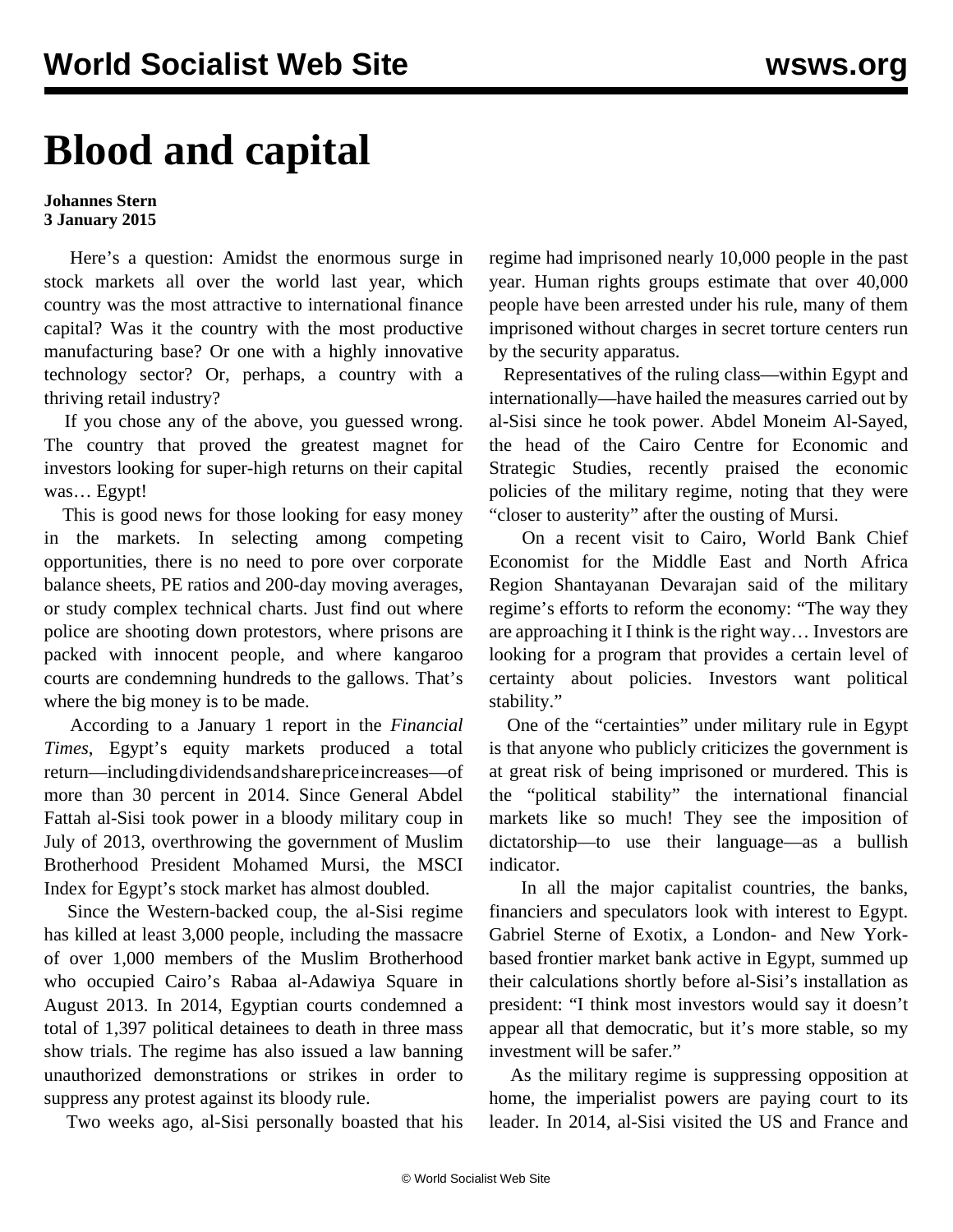## **Blood and capital**

## **Johannes Stern 3 January 2015**

 Here's a question: Amidst the enormous surge in stock markets all over the world last year, which country was the most attractive to international finance capital? Was it the country with the most productive manufacturing base? Or one with a highly innovative technology sector? Or, perhaps, a country with a thriving retail industry?

 If you chose any of the above, you guessed wrong. The country that proved the greatest magnet for investors looking for super-high returns on their capital was… Egypt!

 This is good news for those looking for easy money in the markets. In selecting among competing opportunities, there is no need to pore over corporate balance sheets, PE ratios and 200-day moving averages, or study complex technical charts. Just find out where police are shooting down protestors, where prisons are packed with innocent people, and where kangaroo courts are condemning hundreds to the gallows. That's where the big money is to be made.

 According to a January 1 report in the *Financial Times*, Egypt's equity markets produced a total return—including dividends and share price increases—of more than 30 percent in 2014. Since General Abdel Fattah al-Sisi took power in a bloody military coup in July of 2013, overthrowing the government of Muslim Brotherhood President Mohamed Mursi, the MSCI Index for Egypt's stock market has almost doubled.

 Since the Western-backed coup, the al-Sisi regime has killed at least 3,000 people, including the massacre of over 1,000 members of the Muslim Brotherhood who occupied Cairo's Rabaa al-Adawiya Square in August 2013. In 2014, Egyptian courts condemned a total of 1,397 political detainees to death in three mass show trials. The regime has also issued a law banning unauthorized demonstrations or strikes in order to suppress any protest against its bloody rule.

Two weeks ago, al-Sisi personally boasted that his

regime had imprisoned nearly 10,000 people in the past year. Human rights groups estimate that over 40,000 people have been arrested under his rule, many of them imprisoned without charges in secret torture centers run by the security apparatus.

 Representatives of the ruling class—within Egypt and internationally—have hailed the measures carried out by al-Sisi since he took power. Abdel Moneim Al-Sayed, the head of the Cairo Centre for Economic and Strategic Studies, recently praised the economic policies of the military regime, noting that they were "closer to austerity" after the ousting of Mursi.

 On a recent visit to Cairo, World Bank Chief Economist for the Middle East and North Africa Region Shantayanan Devarajan said of the military regime's efforts to reform the economy: "The way they are approaching it I think is the right way… Investors are looking for a program that provides a certain level of certainty about policies. Investors want political stability."

 One of the "certainties" under military rule in Egypt is that anyone who publicly criticizes the government is at great risk of being imprisoned or murdered. This is the "political stability" the international financial markets like so much! They see the imposition of dictatorship—to use their language—as a bullish indicator.

 In all the major capitalist countries, the banks, financiers and speculators look with interest to Egypt. Gabriel Sterne of Exotix, a London- and New Yorkbased frontier market bank active in Egypt, summed up their calculations shortly before al-Sisi's installation as president: "I think most investors would say it doesn't appear all that democratic, but it's more stable, so my investment will be safer."

 As the military regime is suppressing opposition at home, the imperialist powers are paying court to its leader. In 2014, al-Sisi visited the US and France and